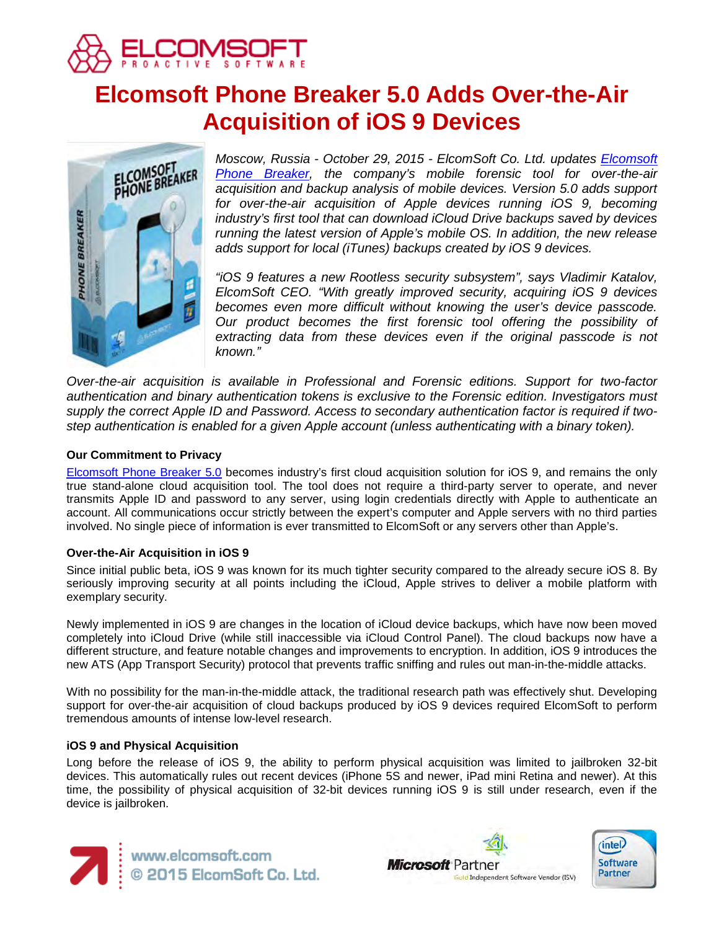

# **Elcomsoft Phone Breaker 5.0 Adds Over-the-Air Acquisition of iOS 9 Devices**



*Moscow, Russia - October 29, 2015 - ElcomSoft Co. Ltd. updates [Elcomsoft](https://www.elcomsoft.com/eppb.html)  [Phone Breaker,](https://www.elcomsoft.com/eppb.html) the company's mobile forensic tool for over-the-air acquisition and backup analysis of mobile devices. Version 5.0 adds support*  for over-the-air acquisition of Apple devices running *iOS* 9, becoming *industry's first tool that can download iCloud Drive backups saved by devices running the latest version of Apple's mobile OS. In addition, the new release adds support for local (iTunes) backups created by iOS 9 devices.*

*"iOS 9 features a new Rootless security subsystem", says Vladimir Katalov, ElcomSoft CEO. "With greatly improved security, acquiring iOS 9 devices becomes even more difficult without knowing the user's device passcode. Our product becomes the first forensic tool offering the possibility of extracting data from these devices even if the original passcode is not known."*

*Over-the-air acquisition is available in Professional and Forensic editions. Support for two-factor authentication and binary authentication tokens is exclusive to the Forensic edition. Investigators must supply the correct Apple ID and Password. Access to secondary authentication factor is required if twostep authentication is enabled for a given Apple account (unless authenticating with a binary token).* 

## **Our Commitment to Privacy**

[Elcomsoft Phone Breaker 5.0](https://www.elcomsoft.com/eppb.html) becomes industry's first cloud acquisition solution for iOS 9, and remains the only true stand-alone cloud acquisition tool. The tool does not require a third-party server to operate, and never transmits Apple ID and password to any server, using login credentials directly with Apple to authenticate an account. All communications occur strictly between the expert's computer and Apple servers with no third parties involved. No single piece of information is ever transmitted to ElcomSoft or any servers other than Apple's.

## **Over-the-Air Acquisition in iOS 9**

Since initial public beta, iOS 9 was known for its much tighter security compared to the already secure iOS 8. By seriously improving security at all points including the iCloud, Apple strives to deliver a mobile platform with exemplary security.

Newly implemented in iOS 9 are changes in the location of iCloud device backups, which have now been moved completely into iCloud Drive (while still inaccessible via iCloud Control Panel). The cloud backups now have a different structure, and feature notable changes and improvements to encryption. In addition, iOS 9 introduces the new ATS (App Transport Security) protocol that prevents traffic sniffing and rules out man-in-the-middle attacks.

With no possibility for the man-in-the-middle attack, the traditional research path was effectively shut. Developing support for over-the-air acquisition of cloud backups produced by iOS 9 devices required ElcomSoft to perform tremendous amounts of intense low-level research.

## **iOS 9 and Physical Acquisition**

Long before the release of iOS 9, the ability to perform physical acquisition was limited to jailbroken 32-bit devices. This automatically rules out recent devices (iPhone 5S and newer, iPad mini Retina and newer). At this time, the possibility of physical acquisition of 32-bit devices running iOS 9 is still under research, even if the device is jailbroken.